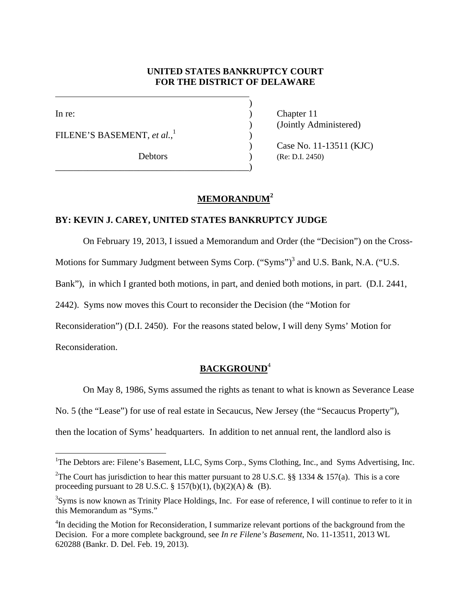### **UNITED STATES BANKRUPTCY COURT FOR THE DISTRICT OF DELAWARE**

 $\overline{a}$ 

FILENE'S BASEMENT, *et al.*, 1

\_\_\_\_\_\_\_\_\_\_\_\_\_\_\_\_\_\_\_\_\_\_\_\_\_\_\_\_\_\_\_\_\_\_\_\_\_\_\_\_\_\_)

 $)$ 

In re: (a) Chapter 11 ) (Jointly Administered)

> ) Case No. 11-13511 (KJC) Debtors (Re: D.I. 2450)

# **MEMORANDUM<sup>2</sup>**

 $\overline{\phantom{a}}$ 

### **BY: KEVIN J. CAREY, UNITED STATES BANKRUPTCY JUDGE**

On February 19, 2013, I issued a Memorandum and Order (the "Decision") on the Cross-

Motions for Summary Judgment between Syms Corp. ("Syms")<sup>3</sup> and U.S. Bank, N.A. ("U.S.

Bank"), in which I granted both motions, in part, and denied both motions, in part. (D.I. 2441,

2442). Syms now moves this Court to reconsider the Decision (the "Motion for

Reconsideration") (D.I. 2450). For the reasons stated below, I will deny Syms' Motion for

Reconsideration.

### **BACKGROUND**<sup>4</sup>

On May 8, 1986, Syms assumed the rights as tenant to what is known as Severance Lease

No. 5 (the "Lease") for use of real estate in Secaucus, New Jersey (the "Secaucus Property"),

then the location of Syms' headquarters. In addition to net annual rent, the landlord also is

<sup>&</sup>lt;sup>1</sup>The Debtors are: Filene's Basement, LLC, Syms Corp., Syms Clothing, Inc., and Syms Advertising, Inc.

<sup>&</sup>lt;sup>2</sup>The Court has jurisdiction to hear this matter pursuant to 28 U.S.C. §§ 1334 & 157(a). This is a core proceeding pursuant to 28 U.S.C. § 157(b)(1), (b)(2)(A) & (B).

<sup>&</sup>lt;sup>3</sup>Syms is now known as Trinity Place Holdings, Inc. For ease of reference, I will continue to refer to it in this Memorandum as "Syms."

<sup>&</sup>lt;sup>4</sup>In deciding the Motion for Reconsideration, I summarize relevant portions of the background from the Decision. For a more complete background, see *In re Filene's Basement*, No. 11-13511, 2013 WL 620288 (Bankr. D. Del. Feb. 19, 2013).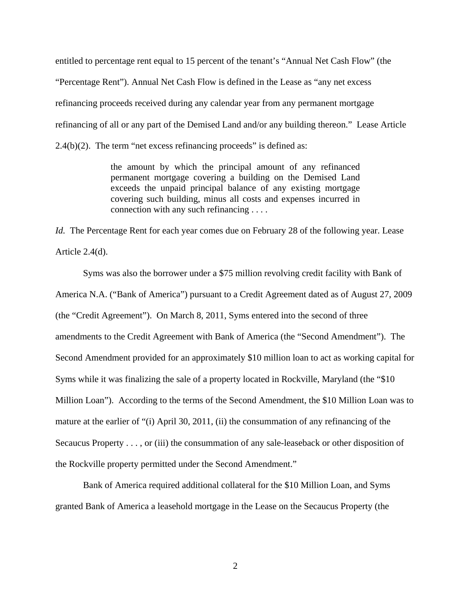entitled to percentage rent equal to 15 percent of the tenant's "Annual Net Cash Flow" (the "Percentage Rent"). Annual Net Cash Flow is defined in the Lease as "any net excess refinancing proceeds received during any calendar year from any permanent mortgage refinancing of all or any part of the Demised Land and/or any building thereon." Lease Article  $2.4(b)(2)$ . The term "net excess refinancing proceeds" is defined as:

> the amount by which the principal amount of any refinanced permanent mortgage covering a building on the Demised Land exceeds the unpaid principal balance of any existing mortgage covering such building, minus all costs and expenses incurred in connection with any such refinancing . . . .

*Id.* The Percentage Rent for each year comes due on February 28 of the following year. Lease Article 2.4(d).

 Syms was also the borrower under a \$75 million revolving credit facility with Bank of America N.A. ("Bank of America") pursuant to a Credit Agreement dated as of August 27, 2009 (the "Credit Agreement"). On March 8, 2011, Syms entered into the second of three amendments to the Credit Agreement with Bank of America (the "Second Amendment"). The Second Amendment provided for an approximately \$10 million loan to act as working capital for Syms while it was finalizing the sale of a property located in Rockville, Maryland (the "\$10 Million Loan"). According to the terms of the Second Amendment, the \$10 Million Loan was to mature at the earlier of "(i) April 30, 2011, (ii) the consummation of any refinancing of the Secaucus Property . . . , or (iii) the consummation of any sale-leaseback or other disposition of the Rockville property permitted under the Second Amendment."

Bank of America required additional collateral for the \$10 Million Loan, and Syms granted Bank of America a leasehold mortgage in the Lease on the Secaucus Property (the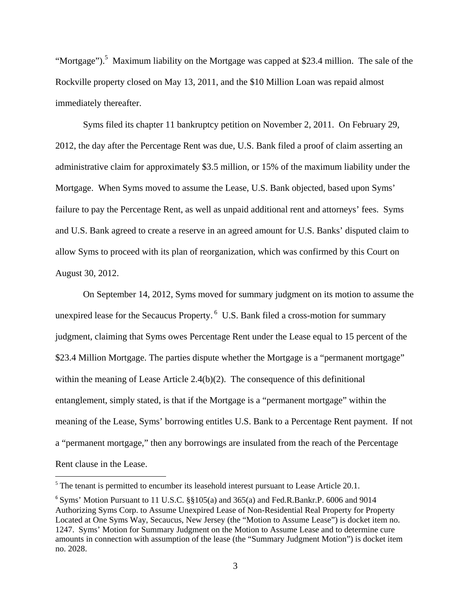"Mortgage").<sup>5</sup> Maximum liability on the Mortgage was capped at \$23.4 million. The sale of the Rockville property closed on May 13, 2011, and the \$10 Million Loan was repaid almost immediately thereafter.

 Syms filed its chapter 11 bankruptcy petition on November 2, 2011. On February 29, 2012, the day after the Percentage Rent was due, U.S. Bank filed a proof of claim asserting an administrative claim for approximately \$3.5 million, or 15% of the maximum liability under the Mortgage. When Syms moved to assume the Lease, U.S. Bank objected, based upon Syms' failure to pay the Percentage Rent, as well as unpaid additional rent and attorneys' fees. Syms and U.S. Bank agreed to create a reserve in an agreed amount for U.S. Banks' disputed claim to allow Syms to proceed with its plan of reorganization, which was confirmed by this Court on August 30, 2012.

On September 14, 2012, Syms moved for summary judgment on its motion to assume the unexpired lease for the Secaucus Property. 6 U.S. Bank filed a cross-motion for summary judgment, claiming that Syms owes Percentage Rent under the Lease equal to 15 percent of the \$23.4 Million Mortgage. The parties dispute whether the Mortgage is a "permanent mortgage" within the meaning of Lease Article 2.4(b)(2). The consequence of this definitional entanglement, simply stated, is that if the Mortgage is a "permanent mortgage" within the meaning of the Lease, Syms' borrowing entitles U.S. Bank to a Percentage Rent payment. If not a "permanent mortgage," then any borrowings are insulated from the reach of the Percentage Rent clause in the Lease.

<sup>&</sup>lt;sup>5</sup> The tenant is permitted to encumber its leasehold interest pursuant to Lease Article 20.1.

 $6$  Syms' Motion Pursuant to 11 U.S.C.  $\S$  $105(a)$  and 365(a) and Fed.R.Bankr.P. 6006 and 9014 Authorizing Syms Corp. to Assume Unexpired Lease of Non-Residential Real Property for Property Located at One Syms Way, Secaucus, New Jersey (the "Motion to Assume Lease") is docket item no. 1247. Syms' Motion for Summary Judgment on the Motion to Assume Lease and to determine cure amounts in connection with assumption of the lease (the "Summary Judgment Motion") is docket item no. 2028.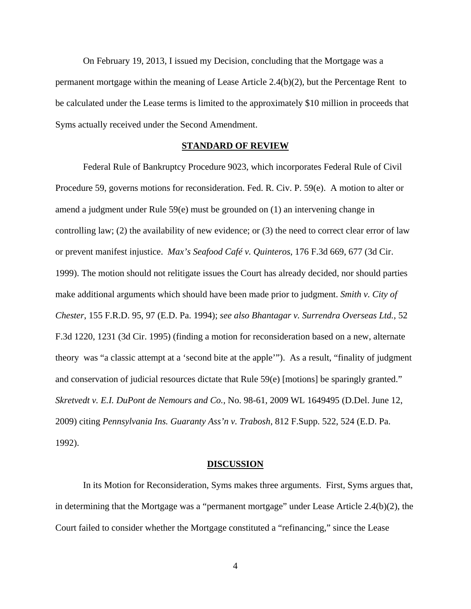On February 19, 2013, I issued my Decision, concluding that the Mortgage was a permanent mortgage within the meaning of Lease Article 2.4(b)(2), but the Percentage Rent to be calculated under the Lease terms is limited to the approximately \$10 million in proceeds that Syms actually received under the Second Amendment.

#### **STANDARD OF REVIEW**

 Federal Rule of Bankruptcy Procedure 9023, which incorporates Federal Rule of Civil Procedure 59, governs motions for reconsideration. Fed. R. Civ. P. 59(e). A motion to alter or amend a judgment under Rule 59(e) must be grounded on (1) an intervening change in controlling law; (2) the availability of new evidence; or (3) the need to correct clear error of law or prevent manifest injustice. *Max's Seafood Café v. Quinteros*, 176 F.3d 669, 677 (3d Cir. 1999). The motion should not relitigate issues the Court has already decided, nor should parties make additional arguments which should have been made prior to judgment. *Smith v. City of Chester*, 155 F.R.D. 95, 97 (E.D. Pa. 1994); *see also Bhantagar v. Surrendra Overseas Ltd.*, 52 F.3d 1220, 1231 (3d Cir. 1995) (finding a motion for reconsideration based on a new, alternate theory was "a classic attempt at a 'second bite at the apple'"). As a result, "finality of judgment and conservation of judicial resources dictate that Rule 59(e) [motions] be sparingly granted." *Skretvedt v. E.I. DuPont de Nemours and Co.,* No. 98-61, 2009 WL 1649495 (D.Del. June 12, 2009) citing *Pennsylvania Ins. Guaranty Ass'n v. Trabosh*, 812 F.Supp. 522, 524 (E.D. Pa. 1992).

#### **DISCUSSION**

 In its Motion for Reconsideration, Syms makes three arguments. First, Syms argues that, in determining that the Mortgage was a "permanent mortgage" under Lease Article 2.4(b)(2), the Court failed to consider whether the Mortgage constituted a "refinancing," since the Lease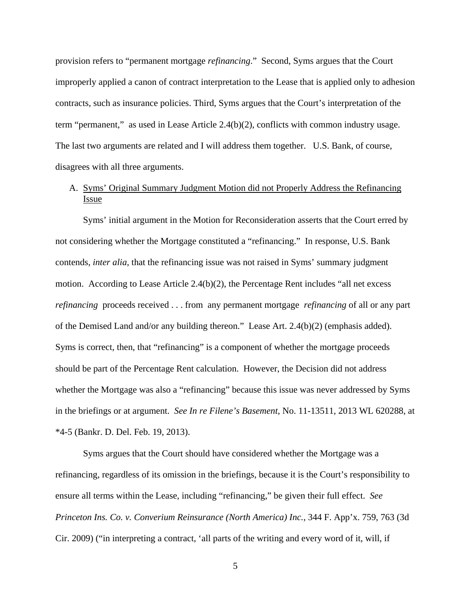provision refers to "permanent mortgage *refinancing*." Second, Syms argues that the Court improperly applied a canon of contract interpretation to the Lease that is applied only to adhesion contracts, such as insurance policies. Third, Syms argues that the Court's interpretation of the term "permanent," as used in Lease Article 2.4(b)(2), conflicts with common industry usage. The last two arguments are related and I will address them together. U.S. Bank, of course, disagrees with all three arguments.

### A. Syms' Original Summary Judgment Motion did not Properly Address the Refinancing Issue

 Syms' initial argument in the Motion for Reconsideration asserts that the Court erred by not considering whether the Mortgage constituted a "refinancing." In response, U.S. Bank contends, *inter alia*, that the refinancing issue was not raised in Syms' summary judgment motion. According to Lease Article 2.4(b)(2), the Percentage Rent includes "all net excess *refinancing* proceeds received . . . from any permanent mortgage *refinancing* of all or any part of the Demised Land and/or any building thereon." Lease Art. 2.4(b)(2) (emphasis added). Syms is correct, then, that "refinancing" is a component of whether the mortgage proceeds should be part of the Percentage Rent calculation. However, the Decision did not address whether the Mortgage was also a "refinancing" because this issue was never addressed by Syms in the briefings or at argument. *See In re Filene's Basement*, No. 11-13511, 2013 WL 620288, at \*4-5 (Bankr. D. Del. Feb. 19, 2013).

Syms argues that the Court should have considered whether the Mortgage was a refinancing, regardless of its omission in the briefings, because it is the Court's responsibility to ensure all terms within the Lease, including "refinancing," be given their full effect. *See Princeton Ins. Co. v. Converium Reinsurance (North America) Inc.*, 344 F. App'x. 759, 763 (3d Cir. 2009) ("in interpreting a contract, 'all parts of the writing and every word of it, will, if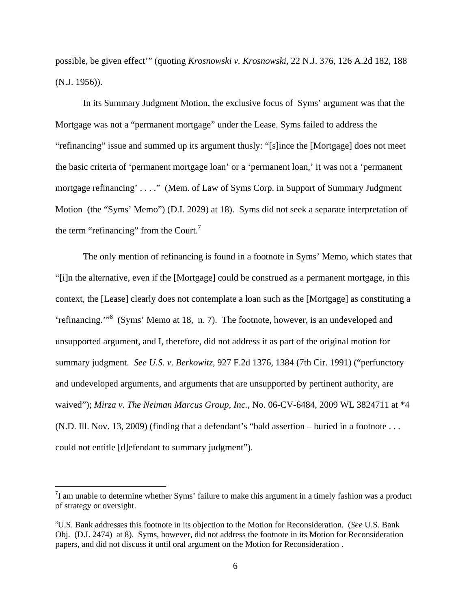possible, be given effect'" (quoting *Krosnowski v. Krosnowski*, 22 N.J. 376, 126 A.2d 182, 188 (N.J. 1956)).

 In its Summary Judgment Motion, the exclusive focus of Syms' argument was that the Mortgage was not a "permanent mortgage" under the Lease. Syms failed to address the "refinancing" issue and summed up its argument thusly: "[s]ince the [Mortgage] does not meet the basic criteria of 'permanent mortgage loan' or a 'permanent loan,' it was not a 'permanent mortgage refinancing' . . . ." (Mem. of Law of Syms Corp. in Support of Summary Judgment Motion (the "Syms' Memo") (D.I. 2029) at 18). Syms did not seek a separate interpretation of the term "refinancing" from the Court.<sup>7</sup>

The only mention of refinancing is found in a footnote in Syms' Memo, which states that "[i]n the alternative, even if the [Mortgage] could be construed as a permanent mortgage, in this context, the [Lease] clearly does not contemplate a loan such as the [Mortgage] as constituting a 'refinancing.'"<sup>8</sup> (Syms' Memo at 18, n. 7). The footnote, however, is an undeveloped and unsupported argument, and I, therefore, did not address it as part of the original motion for summary judgment. *See U.S. v. Berkowitz*, 927 F.2d 1376, 1384 (7th Cir. 1991) ("perfunctory and undeveloped arguments, and arguments that are unsupported by pertinent authority, are waived"); *Mirza v. The Neiman Marcus Group, Inc.*, No. 06-CV-6484, 2009 WL 3824711 at \*4 (N.D. Ill. Nov. 13, 2009) (finding that a defendant's "bald assertion – buried in a footnote . . . could not entitle [d]efendant to summary judgment").

 $7$ I am unable to determine whether Syms' failure to make this argument in a timely fashion was a product of strategy or oversight.

<sup>8</sup> U.S. Bank addresses this footnote in its objection to the Motion for Reconsideration. (*See* U.S. Bank Obj. (D.I. 2474) at 8). Syms, however, did not address the footnote in its Motion for Reconsideration papers, and did not discuss it until oral argument on the Motion for Reconsideration .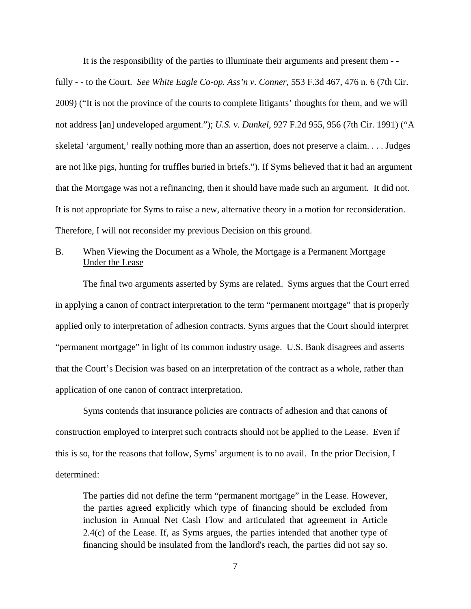It is the responsibility of the parties to illuminate their arguments and present them - -

fully - - to the Court. *See White Eagle Co-op. Ass'n v. Conner*, 553 F.3d 467, 476 n. 6 (7th Cir. 2009) ("It is not the province of the courts to complete litigants' thoughts for them, and we will not address [an] undeveloped argument."); *U.S. v. Dunkel*, 927 F.2d 955, 956 (7th Cir. 1991) ("A skeletal 'argument,' really nothing more than an assertion, does not preserve a claim. . . . Judges are not like pigs, hunting for truffles buried in briefs."). If Syms believed that it had an argument that the Mortgage was not a refinancing, then it should have made such an argument. It did not. It is not appropriate for Syms to raise a new, alternative theory in a motion for reconsideration. Therefore, I will not reconsider my previous Decision on this ground.

### B. When Viewing the Document as a Whole, the Mortgage is a Permanent Mortgage Under the Lease

 The final two arguments asserted by Syms are related. Syms argues that the Court erred in applying a canon of contract interpretation to the term "permanent mortgage" that is properly applied only to interpretation of adhesion contracts. Syms argues that the Court should interpret "permanent mortgage" in light of its common industry usage. U.S. Bank disagrees and asserts that the Court's Decision was based on an interpretation of the contract as a whole, rather than application of one canon of contract interpretation.

 Syms contends that insurance policies are contracts of adhesion and that canons of construction employed to interpret such contracts should not be applied to the Lease. Even if this is so, for the reasons that follow, Syms' argument is to no avail. In the prior Decision, I determined:

The parties did not define the term "permanent mortgage" in the Lease. However, the parties agreed explicitly which type of financing should be excluded from inclusion in Annual Net Cash Flow and articulated that agreement in Article 2.4(c) of the Lease. If, as Syms argues, the parties intended that another type of financing should be insulated from the landlord's reach, the parties did not say so.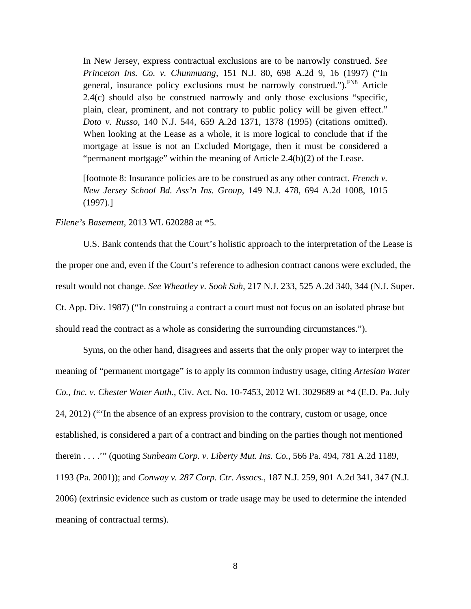In New Jersey, express contractual exclusions are to be narrowly construed. *See Princeton Ins. Co. v. Chunmuang,* 151 N.J. 80, 698 A.2d 9, 16 (1997) ("In general, insurance policy exclusions must be narrowly construed.").  $\frac{FN8}{FN}$  Article 2.4(c) should also be construed narrowly and only those exclusions "specific, plain, clear, prominent, and not contrary to public policy will be given effect." *Doto v. Russo,* 140 N.J. 544, 659 A.2d 1371, 1378 (1995) (citations omitted). When looking at the Lease as a whole, it is more logical to conclude that if the mortgage at issue is not an Excluded Mortgage, then it must be considered a "permanent mortgage" within the meaning of Article 2.4(b)(2) of the Lease.

[footnote 8: Insurance policies are to be construed as any other contract. *French v. New Jersey School Bd. Ass'n Ins. Group,* 149 N.J. 478, 694 A.2d 1008, 1015 (1997).]

#### *Filene's Basement*, 2013 WL 620288 at \*5.

 U.S. Bank contends that the Court's holistic approach to the interpretation of the Lease is the proper one and, even if the Court's reference to adhesion contract canons were excluded, the result would not change. *See Wheatley v. Sook Suh*, 217 N.J. 233, 525 A.2d 340, 344 (N.J. Super. Ct. App. Div. 1987) ("In construing a contract a court must not focus on an isolated phrase but should read the contract as a whole as considering the surrounding circumstances.").

Syms, on the other hand, disagrees and asserts that the only proper way to interpret the meaning of "permanent mortgage" is to apply its common industry usage, citing *Artesian Water Co., Inc. v. Chester Water Auth.*, Civ. Act. No. 10-7453, 2012 WL 3029689 at \*4 (E.D. Pa. July 24, 2012) ("'In the absence of an express provision to the contrary, custom or usage, once established, is considered a part of a contract and binding on the parties though not mentioned therein . . . .'" (quoting *Sunbeam Corp. v. Liberty Mut. Ins. Co.*, 566 Pa. 494, 781 A.2d 1189, 1193 (Pa. 2001)); and *Conway v. 287 Corp. Ctr. Assocs.*, 187 N.J. 259, 901 A.2d 341, 347 (N.J. 2006) (extrinsic evidence such as custom or trade usage may be used to determine the intended meaning of contractual terms).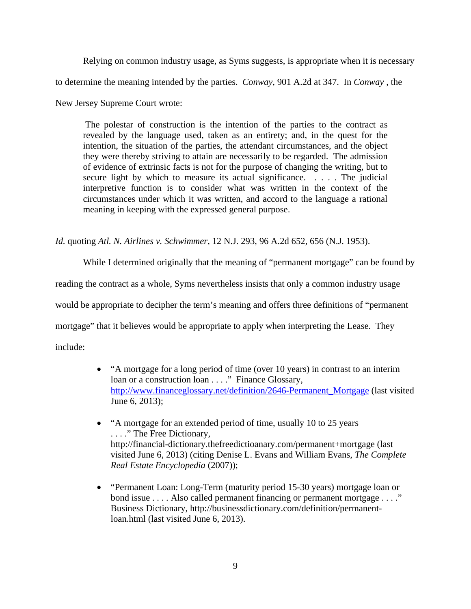Relying on common industry usage, as Syms suggests, is appropriate when it is necessary to determine the meaning intended by the parties. *Conway*, 901 A.2d at 347. In *Conway* , the New Jersey Supreme Court wrote:

 The polestar of construction is the intention of the parties to the contract as revealed by the language used, taken as an entirety; and, in the quest for the intention, the situation of the parties, the attendant circumstances, and the object they were thereby striving to attain are necessarily to be regarded. The admission of evidence of extrinsic facts is not for the purpose of changing the writing, but to secure light by which to measure its actual significance. . . . . The judicial interpretive function is to consider what was written in the context of the circumstances under which it was written, and accord to the language a rational meaning in keeping with the expressed general purpose.

*Id.* quoting *Atl. N. Airlines v. Schwimmer,* 12 N.J. 293, 96 A.2d 652, 656 (N.J. 1953).

While I determined originally that the meaning of "permanent mortgage" can be found by reading the contract as a whole, Syms nevertheless insists that only a common industry usage would be appropriate to decipher the term's meaning and offers three definitions of "permanent mortgage" that it believes would be appropriate to apply when interpreting the Lease. They include:

- "A mortgage for a long period of time (over 10 years) in contrast to an interim loan or a construction loan . . . ." Finance Glossary, http://www.financeglossary.net/definition/2646-Permanent\_Mortgage (last visited June 6, 2013);
- "A mortgage for an extended period of time, usually 10 to 25 years . . . ." The Free Dictionary, http://financial-dictionary.thefreedictioanary.com/permanent+mortgage (last visited June 6, 2013) (citing Denise L. Evans and William Evans, *The Complete Real Estate Encyclopedia* (2007));
- "Permanent Loan: Long-Term (maturity period 15-30 years) mortgage loan or bond issue . . . . Also called permanent financing or permanent mortgage . . . ." Business Dictionary, http://businessdictionary.com/definition/permanentloan.html (last visited June 6, 2013).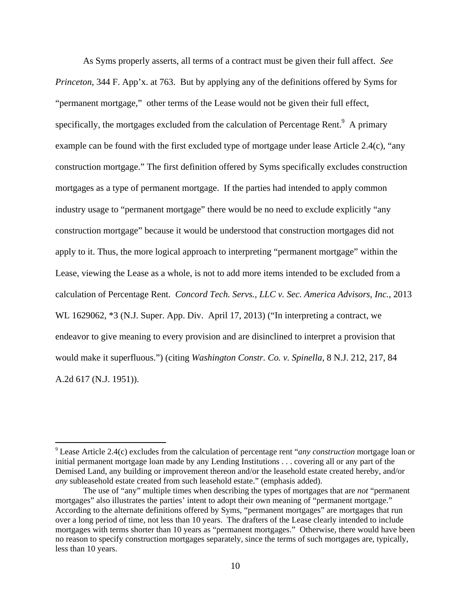As Syms properly asserts, all terms of a contract must be given their full affect. *See Princeton*, 344 F. App'x. at 763. But by applying any of the definitions offered by Syms for "permanent mortgage," other terms of the Lease would not be given their full effect, specifically, the mortgages excluded from the calculation of Percentage Rent. $9$  A primary example can be found with the first excluded type of mortgage under lease Article 2.4(c), "any construction mortgage." The first definition offered by Syms specifically excludes construction mortgages as a type of permanent mortgage. If the parties had intended to apply common industry usage to "permanent mortgage" there would be no need to exclude explicitly "any construction mortgage" because it would be understood that construction mortgages did not apply to it. Thus, the more logical approach to interpreting "permanent mortgage" within the Lease, viewing the Lease as a whole, is not to add more items intended to be excluded from a calculation of Percentage Rent. *Concord Tech. Servs., LLC v. Sec. America Advisors, Inc.*, 2013 WL 1629062, \*3 (N.J. Super. App. Div. April 17, 2013) ("In interpreting a contract, we endeavor to give meaning to every provision and are disinclined to interpret a provision that would make it superfluous.") (citing *Washington Constr. Co. v. Spinella,* 8 N.J. 212, 217, 84 A.2d 617 (N.J. 1951)).

<sup>9</sup> Lease Article 2.4(c) excludes from the calculation of percentage rent "*any construction* mortgage loan or initial permanent mortgage loan made by any Lending Institutions . . . covering all or any part of the Demised Land, any building or improvement thereon and/or the leasehold estate created hereby, and/or *any* subleasehold estate created from such leasehold estate." (emphasis added).

The use of "any" multiple times when describing the types of mortgages that are *not* "permanent mortgages" also illustrates the parties' intent to adopt their own meaning of "permanent mortgage." According to the alternate definitions offered by Syms, "permanent mortgages" are mortgages that run over a long period of time, not less than 10 years. The drafters of the Lease clearly intended to include mortgages with terms shorter than 10 years as "permanent mortgages." Otherwise, there would have been no reason to specify construction mortgages separately, since the terms of such mortgages are, typically, less than 10 years.